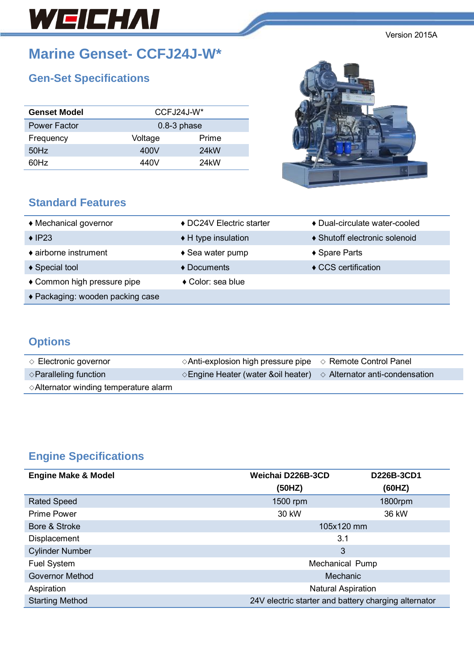# WEICHAI

**Marine Genset- CCFJ24J-W\***

# **Gen-Set Specifications**

| <b>Genset Model</b> | $CCFJ24J-W*$  |                   |  |
|---------------------|---------------|-------------------|--|
| <b>Power Factor</b> | $0.8-3$ phase |                   |  |
| Frequency           | Voltage       | Prime             |  |
| 50Hz                | 400V          | 24 <sub>k</sub> W |  |
| 60Hz                | 440V          | 24 <sub>k</sub> W |  |

### **Standard Features**



| ♦ Mechanical governor            | ♦ DC24V Electric starter   | ♦ Dual-circulate water-cooled |
|----------------------------------|----------------------------|-------------------------------|
| $\triangle$ IP23                 | ◆ H type insulation        | ♦ Shutoff electronic solenoid |
| $\bullet$ airborne instrument    | $\triangle$ Sea water pump | ◆ Spare Parts                 |
| ♦ Special tool                   | $\triangle$ Documents      | $\triangle$ CCS certification |
| ◆ Common high pressure pipe      | ◆ Color: sea blue          |                               |
| ◆ Packaging: wooden packing case |                            |                               |

## **Options**

| $\Diamond$ Electronic governor                  | $\Diamond$ Anti-explosion high pressure pipe $\Diamond$ Remote Control Panel         |  |
|-------------------------------------------------|--------------------------------------------------------------------------------------|--|
| $\diamond$ Paralleling function                 | $\Diamond$ Engine Heater (water &oil heater) $\Diamond$ Alternator anti-condensation |  |
| $\Diamond$ Alternator winding temperature alarm |                                                                                      |  |

# **Engine Specifications**

| <b>Engine Make &amp; Model</b> | Weichai D226B-3CD                                    | D226B-3CD1 |
|--------------------------------|------------------------------------------------------|------------|
|                                | (50HZ)                                               | (60HZ)     |
| <b>Rated Speed</b>             | 1500 rpm                                             | 1800rpm    |
| <b>Prime Power</b>             | 30 kW                                                | 36 kW      |
| Bore & Stroke                  | 105x120 mm                                           |            |
| Displacement                   | 3.1                                                  |            |
| <b>Cylinder Number</b>         | 3                                                    |            |
| Fuel System                    | Mechanical Pump                                      |            |
| <b>Governor Method</b>         | Mechanic                                             |            |
| Aspiration                     | <b>Natural Aspiration</b>                            |            |
| <b>Starting Method</b>         | 24V electric starter and battery charging alternator |            |